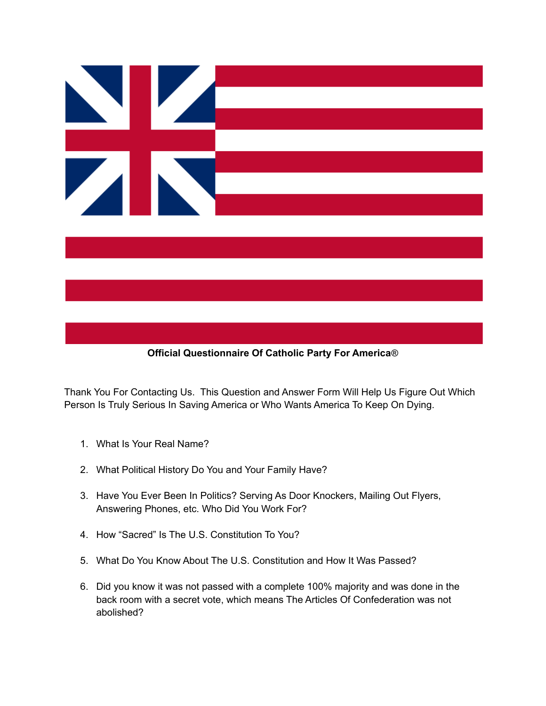



Thank You For Contacting Us. This Question and Answer Form Will Help Us Figure Out Which Person Is Truly Serious In Saving America or Who Wants America To Keep On Dying.

- 1. What Is Your Real Name?
- 2. What Political History Do You and Your Family Have?
- 3. Have You Ever Been In Politics? Serving As Door Knockers, Mailing Out Flyers, Answering Phones, etc. Who Did You Work For?
- 4. How "Sacred" Is The U.S. Constitution To You?
- 5. What Do You Know About The U.S. Constitution and How It Was Passed?
- 6. Did you know it was not passed with a complete 100% majority and was done in the back room with a secret vote, which means The Articles Of Confederation was not abolished?